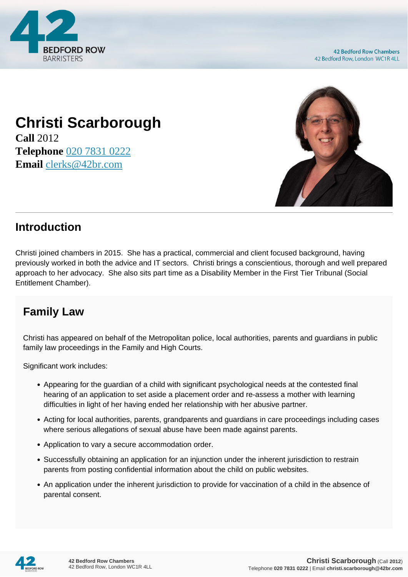

**42 Bedford Row Chambers** 42 Bedford Row, London WC1R 4LL

## **Christi Scarborough**

**Call** 2012 **Telephone** [020 7831 0222](https://pdf.codeshore.co/_42br/tel:020 7831 0222) **Email** [clerks@42br.com](mailto:clerks@42br.com)



## **Introduction**

Christi joined chambers in 2015. She has a practical, commercial and client focused background, having previously worked in both the advice and IT sectors. Christi brings a conscientious, thorough and well prepared approach to her advocacy. She also sits part time as a Disability Member in the First Tier Tribunal (Social Entitlement Chamber).

## **Family Law**

Christi has appeared on behalf of the Metropolitan police, local authorities, parents and guardians in public family law proceedings in the Family and High Courts.

Significant work includes:

- Appearing for the guardian of a child with significant psychological needs at the contested final hearing of an application to set aside a placement order and re-assess a mother with learning difficulties in light of her having ended her relationship with her abusive partner.
- Acting for local authorities, parents, grandparents and guardians in care proceedings including cases where serious allegations of sexual abuse have been made against parents.
- Application to vary a secure accommodation order.
- Successfully obtaining an application for an injunction under the inherent jurisdiction to restrain parents from posting confidential information about the child on public websites.
- An application under the inherent jurisdiction to provide for vaccination of a child in the absence of parental consent.